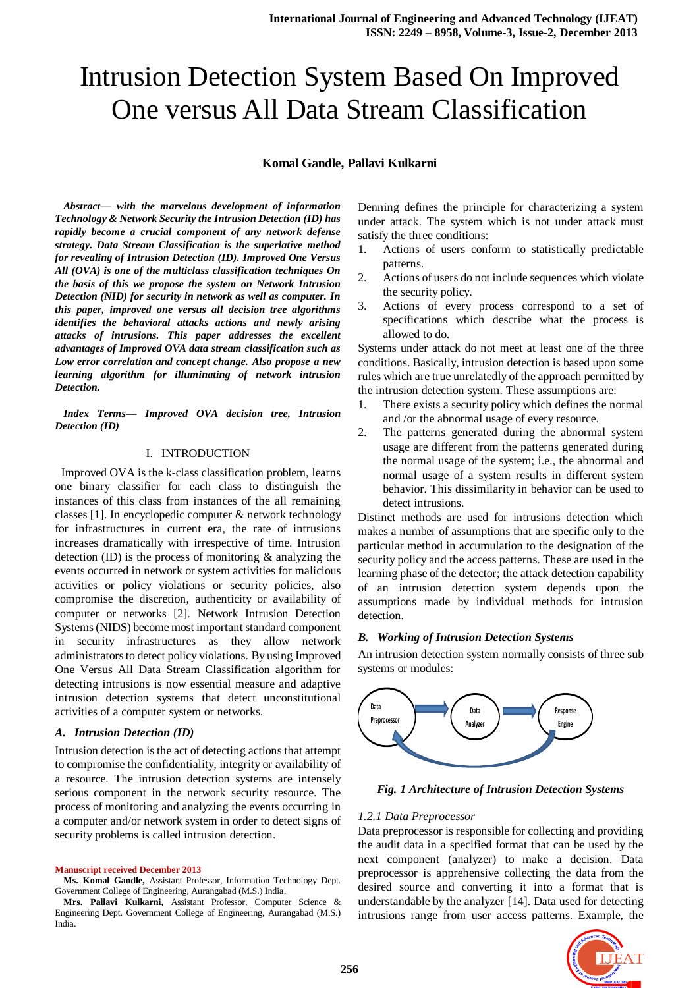# Intrusion Detection System Based On Improved One versus All Data Stream Classification

#### **Komal Gandle, Pallavi Kulkarni**

*Abstract— with the marvelous development of information Technology & Network Security the Intrusion Detection (ID) has rapidly become a crucial component of any network defense strategy. Data Stream Classification is the superlative method for revealing of Intrusion Detection (ID). Improved One Versus All (OVA) is one of the multiclass classification techniques On the basis of this we propose the system on Network Intrusion Detection (NID) for security in network as well as computer. In this paper, improved one versus all decision tree algorithms identifies the behavioral attacks actions and newly arising attacks of intrusions. This paper addresses the excellent advantages of Improved OVA data stream classification such as Low error correlation and concept change. Also propose a new learning algorithm for illuminating of network intrusion Detection.*

*Index Terms— Improved OVA decision tree, Intrusion Detection (ID)*

#### I. INTRODUCTION

 Improved OVA is the k-class classification problem, learns one binary classifier for each class to distinguish the instances of this class from instances of the all remaining classes [1]. In encyclopedic computer & network technology for infrastructures in current era, the rate of intrusions increases dramatically with irrespective of time. Intrusion detection (ID) is the process of monitoring & analyzing the events occurred in network or system activities for malicious activities or policy violations or security policies, also compromise the discretion, authenticity or availability of computer or networks [2]. Network Intrusion Detection Systems (NIDS) become most important standard component in security infrastructures as they allow network administrators to detect policy violations. By using Improved One Versus All Data Stream Classification algorithm for detecting intrusions is now essential measure and adaptive intrusion detection systems that detect unconstitutional activities of a computer system or networks.

#### *A. Intrusion Detection (ID)*

Intrusion detection is the act of detecting actions that attempt to compromise the confidentiality, integrity or availability of a resource. The intrusion detection systems are intensely serious component in the network security resource. The process of monitoring and analyzing the events occurring in a computer and/or network system in order to detect signs of security problems is called intrusion detection.

**Manuscript received December 2013**

**Ms. Komal Gandle,** Assistant Professor, Information Technology Dept. Government College of Engineering, Aurangabad (M.S.) India.

Denning defines the principle for characterizing a system under attack. The system which is not under attack must satisfy the three conditions:

- 1. Actions of users conform to statistically predictable patterns.
- 2. Actions of users do not include sequences which violate the security policy.
- 3. Actions of every process correspond to a set of specifications which describe what the process is allowed to do.

Systems under attack do not meet at least one of the three conditions. Basically, intrusion detection is based upon some rules which are true unrelatedly of the approach permitted by the intrusion detection system. These assumptions are:

- 1. There exists a security policy which defines the normal and /or the abnormal usage of every resource.
- 2. The patterns generated during the abnormal system usage are different from the patterns generated during the normal usage of the system; i.e., the abnormal and normal usage of a system results in different system behavior. This dissimilarity in behavior can be used to detect intrusions.

Distinct methods are used for intrusions detection which makes a number of assumptions that are specific only to the particular method in accumulation to the designation of the security policy and the access patterns. These are used in the learning phase of the detector; the attack detection capability of an intrusion detection system depends upon the assumptions made by individual methods for intrusion detection.

#### *B. Working of Intrusion Detection Systems*

An intrusion detection system normally consists of three sub systems or modules:



*Fig. 1 Architecture of Intrusion Detection Systems*

#### *1.2.1 Data Preprocessor*

Data preprocessor is responsible for collecting and providing the audit data in a specified format that can be used by the next component (analyzer) to make a decision. Data preprocessor is apprehensive collecting the data from the desired source and converting it into a format that is understandable by the analyzer [14]. Data used for detecting intrusions range from user access patterns. Example, the



**Mrs. Pallavi Kulkarni,** Assistant Professor, Computer Science & Engineering Dept. Government College of Engineering, Aurangabad (M.S.) India.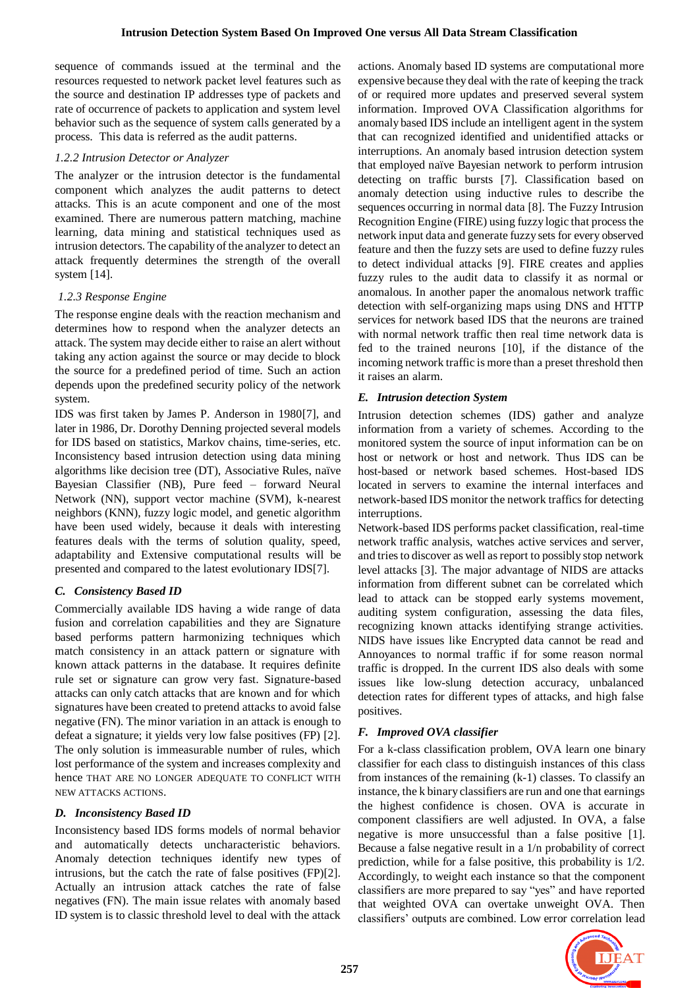sequence of commands issued at the terminal and the resources requested to network packet level features such as the source and destination IP addresses type of packets and rate of occurrence of packets to application and system level behavior such as the sequence of system calls generated by a process. This data is referred as the audit patterns.

# *1.2.2 Intrusion Detector or Analyzer*

The analyzer or the intrusion detector is the fundamental component which analyzes the audit patterns to detect attacks. This is an acute component and one of the most examined. There are numerous pattern matching, machine learning, data mining and statistical techniques used as intrusion detectors. The capability of the analyzer to detect an attack frequently determines the strength of the overall system [14].

# *1.2.3 Response Engine*

The response engine deals with the reaction mechanism and determines how to respond when the analyzer detects an attack. The system may decide either to raise an alert without taking any action against the source or may decide to block the source for a predefined period of time. Such an action depends upon the predefined security policy of the network system.

IDS was first taken by James P. Anderson in 1980[7], and later in 1986, Dr. Dorothy Denning projected several models for IDS based on statistics, Markov chains, time-series, etc. Inconsistency based intrusion detection using data mining algorithms like decision tree (DT), Associative Rules, naïve Bayesian Classifier (NB), Pure feed – forward Neural Network (NN), support vector machine (SVM), k-nearest neighbors (KNN), fuzzy logic model, and genetic algorithm have been used widely, because it deals with interesting features deals with the terms of solution quality, speed, adaptability and Extensive computational results will be presented and compared to the latest evolutionary IDS[7].

# *C. Consistency Based ID*

Commercially available IDS having a wide range of data fusion and correlation capabilities and they are Signature based performs pattern harmonizing techniques which match consistency in an attack pattern or signature with known attack patterns in the database. It requires definite rule set or signature can grow very fast. Signature-based attacks can only catch attacks that are known and for which signatures have been created to pretend attacks to avoid false negative (FN). The minor variation in an attack is enough to defeat a signature; it yields very low false positives (FP) [2]. The only solution is immeasurable number of rules, which lost performance of the system and increases complexity and hence THAT ARE NO LONGER ADEQUATE TO CONFLICT WITH NEW ATTACKS ACTIONS.

# *D. Inconsistency Based ID*

Inconsistency based IDS forms models of normal behavior and automatically detects uncharacteristic behaviors. Anomaly detection techniques identify new types of intrusions, but the catch the rate of false positives (FP)[2]. Actually an intrusion attack catches the rate of false negatives (FN). The main issue relates with anomaly based ID system is to classic threshold level to deal with the attack actions. Anomaly based ID systems are computational more expensive because they deal with the rate of keeping the track of or required more updates and preserved several system information. Improved OVA Classification algorithms for anomaly based IDS include an intelligent agent in the system that can recognized identified and unidentified attacks or interruptions. An anomaly based intrusion detection system that employed naïve Bayesian network to perform intrusion detecting on traffic bursts [7]. Classification based on anomaly detection using inductive rules to describe the sequences occurring in normal data [8]. The Fuzzy Intrusion Recognition Engine (FIRE) using fuzzy logic that process the network input data and generate fuzzy sets for every observed feature and then the fuzzy sets are used to define fuzzy rules to detect individual attacks [9]. FIRE creates and applies fuzzy rules to the audit data to classify it as normal or anomalous. In another paper the anomalous network traffic detection with self-organizing maps using DNS and HTTP services for network based IDS that the neurons are trained with normal network traffic then real time network data is fed to the trained neurons [10], if the distance of the incoming network traffic is more than a preset threshold then it raises an alarm.

# *E. Intrusion detection System*

Intrusion detection schemes (IDS) gather and analyze information from a variety of schemes. According to the monitored system the source of input information can be on host or network or host and network. Thus IDS can be host-based or network based schemes. Host-based IDS located in servers to examine the internal interfaces and network-based IDS monitor the network traffics for detecting interruptions.

Network-based IDS performs packet classification, real-time network traffic analysis, watches active services and server, and tries to discover as well as report to possibly stop network level attacks [3]. The major advantage of NIDS are attacks information from different subnet can be correlated which lead to attack can be stopped early systems movement, auditing system configuration, assessing the data files, recognizing known attacks identifying strange activities. NIDS have issues like Encrypted data cannot be read and Annoyances to normal traffic if for some reason normal traffic is dropped. In the current IDS also deals with some issues like low-slung detection accuracy, unbalanced detection rates for different types of attacks, and high false positives.

# *F. Improved OVA classifier*

For a k-class classification problem, OVA learn one binary classifier for each class to distinguish instances of this class from instances of the remaining (k-1) classes. To classify an instance, the k binary classifiers are run and one that earnings the highest confidence is chosen. OVA is accurate in component classifiers are well adjusted. In OVA, a false negative is more unsuccessful than a false positive [1]. Because a false negative result in a 1/n probability of correct prediction, while for a false positive, this probability is 1/2. Accordingly, to weight each instance so that the component classifiers are more prepared to say "yes" and have reported that weighted OVA can overtake unweight OVA. Then classifiers' outputs are combined. Low error correlation lead

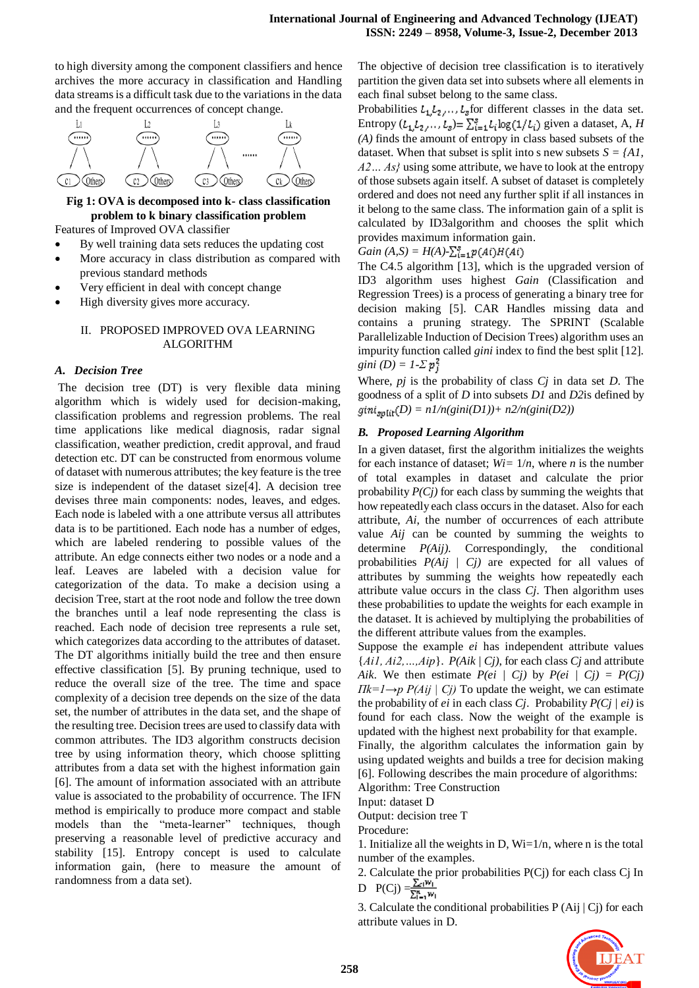to high diversity among the component classifiers and hence archives the more accuracy in classification and Handling data streams is a difficult task due to the variations in the data and the frequent occurrences of concept change.



**Fig 1: OVA is decomposed into k- class classification problem to k binary classification problem**

Features of Improved OVA classifier

- By well training data sets reduces the updating cost
- More accuracy in class distribution as compared with previous standard methods
- Very efficient in deal with concept change
- High diversity gives more accuracy.

# II. PROPOSED IMPROVED OVA LEARNING ALGORITHM

# *A. Decision Tree*

The decision tree (DT) is very flexible data mining algorithm which is widely used for decision-making, classification problems and regression problems. The real time applications like medical diagnosis, radar signal classification, weather prediction, credit approval, and fraud detection etc. DT can be constructed from enormous volume of dataset with numerous attributes; the key feature is the tree size is independent of the dataset size[4]. A decision tree devises three main components: nodes, leaves, and edges. Each node is labeled with a one attribute versus all attributes data is to be partitioned. Each node has a number of edges, which are labeled rendering to possible values of the attribute. An edge connects either two nodes or a node and a leaf. Leaves are labeled with a decision value for categorization of the data. To make a decision using a decision Tree, start at the root node and follow the tree down the branches until a leaf node representing the class is reached. Each node of decision tree represents a rule set, which categorizes data according to the attributes of dataset. The DT algorithms initially build the tree and then ensure effective classification [5]. By pruning technique, used to reduce the overall size of the tree. The time and space complexity of a decision tree depends on the size of the data set, the number of attributes in the data set, and the shape of the resulting tree. Decision trees are used to classify data with common attributes. The ID3 algorithm constructs decision tree by using information theory, which choose splitting attributes from a data set with the highest information gain [6]. The amount of information associated with an attribute value is associated to the probability of occurrence. The IFN method is empirically to produce more compact and stable models than the "meta-learner" techniques, though preserving a reasonable level of predictive accuracy and stability [15]. Entropy concept is used to calculate information gain, (here to measure the amount of randomness from a data set).

The objective of decision tree classification is to iteratively partition the given data set into subsets where all elements in each final subset belong to the same class.

Probabilities  $L_1, L_2, \ldots, L_s$  for different classes in the data set. Entropy  $(L_1, L_2, \ldots, L_s) = \sum_{i=1}^s L_i \log(1/L_i)$  given a dataset, A, *H (A)* finds the amount of entropy in class based subsets of the dataset. When that subset is split into s new subsets  $S = \{AI, \}$ *A2… As}* using some attribute, we have to look at the entropy of those subsets again itself. A subset of dataset is completely ordered and does not need any further split if all instances in it belong to the same class. The information gain of a split is calculated by ID3algorithm and chooses the split which provides maximum information gain.

$$
Gain (A, S) = H(A) - \sum_{i=1}^{g} p(Ai)H(Ai)
$$

The C4.5 algorithm [13], which is the upgraded version of ID3 algorithm uses highest *Gain* (Classification and Regression Trees) is a process of generating a binary tree for decision making [5]. CAR Handles missing data and contains a pruning strategy. The SPRINT (Scalable Parallelizable Induction of Decision Trees) algorithm uses an impurity function called *gini* index to find the best split [12]. *gini*  $(D) = 1-\sum p_i^2$ 

Where, *pj* is the probability of class *Cj* in data set *D*. The goodness of a split of *D* into subsets *D1* and *D2*is defined by  $gint_{\text{snfit}}(D) = n1/n(\text{gini}(D1)) + n2/n(\text{gini}(D2))$ 

#### *B. Proposed Learning Algorithm*

In a given dataset, first the algorithm initializes the weights for each instance of dataset;  $W_i = 1/n$ , where *n* is the number of total examples in dataset and calculate the prior probability *P(Cj)* for each class by summing the weights that how repeatedly each class occurs in the dataset. Also for each attribute, *Ai*, the number of occurrences of each attribute value *Aij* can be counted by summing the weights to determine *P(Aij)*. Correspondingly, the conditional probabilities *P(Aij | Cj)* are expected for all values of attributes by summing the weights how repeatedly each attribute value occurs in the class *Cj*. Then algorithm uses these probabilities to update the weights for each example in the dataset. It is achieved by multiplying the probabilities of the different attribute values from the examples.

Suppose the example *ei* has independent attribute values {*Ai1, Ai2,…,Aip*}. *P(Aik | Cj)*, for each class *Cj* and attribute *Aik.* We then estimate  $P(ei \mid Ci)$  by  $P(ei \mid Ci) = P(Ci)$ *Πk=1→p P(Aij | Cj)* To update the weight, we can estimate the probability of *ei* in each class *Cj*. Probability *P(Cj | ei)* is found for each class. Now the weight of the example is updated with the highest next probability for that example.

Finally, the algorithm calculates the information gain by using updated weights and builds a tree for decision making [6]. Following describes the main procedure of algorithms:

Algorithm: Tree Construction

Input: dataset D

Output: decision tree T

Procedure:

1. Initialize all the weights in D,  $Wi=1/n$ , where n is the total number of the examples.

2. Calculate the prior probabilities P(Cj) for each class Cj In D  $P(Cj) = \frac{\sum_{i} w_i}{\sum_{i=1}^{n} w_i}$ 

3. Calculate the conditional probabilities P (Aij | Cj) for each attribute values in D.